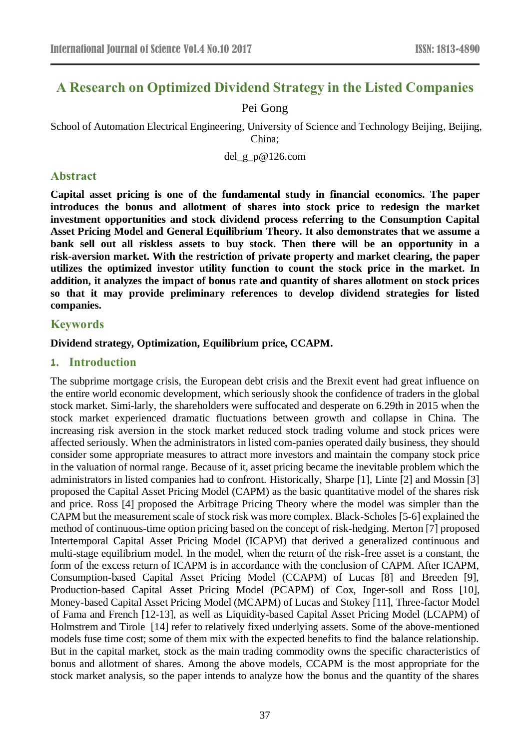# **A Research on Optimized Dividend Strategy in the Listed Companies**

# Pei Gong

School of Automation Electrical Engineering, University of Science and Technology Beijing, Beijing, China;

del\_g\_p@126.com

# **Abstract**

**Capital asset pricing is one of the fundamental study in financial economics. The paper introduces the bonus and allotment of shares into stock price to redesign the market investment opportunities and stock dividend process referring to the Consumption Capital Asset Pricing Model and General Equilibrium Theory. It also demonstrates that we assume a bank sell out all riskless assets to buy stock. Then there will be an opportunity in a risk-aversion market. With the restriction of private property and market clearing, the paper utilizes the optimized investor utility function to count the stock price in the market. In addition, it analyzes the impact of bonus rate and quantity of shares allotment on stock prices so that it may provide preliminary references to develop dividend strategies for listed companies.**

# **Keywords**

#### **Dividend strategy, Optimization, Equilibrium price, CCAPM.**

# **1. Introduction**

The subprime mortgage crisis, the European debt crisis and the Brexit event had great influence on the entire world economic development, which seriously shook the confidence of traders in the global stock market. Simi-larly, the shareholders were suffocated and desperate on 6.29th in 2015 when the stock market experienced dramatic fluctuations between growth and collapse in China. The increasing risk aversion in the stock market reduced stock trading volume and stock prices were affected seriously. When the administrators in listed com-panies operated daily business, they should consider some appropriate measures to attract more investors and maintain the company stock price in the valuation of normal range. Because of it, asset pricing became the inevitable problem which the administrators in listed companies had to confront. Historically, Sharpe [1], Linte [2] and Mossin [3] proposed the Capital Asset Pricing Model (CAPM) as the basic quantitative model of the shares risk and price. Ross [4] proposed the Arbitrage Pricing Theory where the model was simpler than the CAPM but the measurement scale of stock risk was more complex. Black-Scholes [5-6] explained the method of continuous-time option pricing based on the concept of risk-hedging. Merton [7] proposed Intertemporal Capital Asset Pricing Model (ICAPM) that derived a generalized continuous and multi-stage equilibrium model. In the model, when the return of the risk-free asset is a constant, the form of the excess return of ICAPM is in accordance with the conclusion of CAPM. After ICAPM, Consumption-based Capital Asset Pricing Model (CCAPM) of Lucas [8] and Breeden [9], Production-based Capital Asset Pricing Model (PCAPM) of Cox, Inger-soll and Ross [10], Money-based Capital Asset Pricing Model (MCAPM) of Lucas and Stokey [11], Three-factor Model of Fama and French [12-13], as well as Liquidity-based Capital Asset Pricing Model (LCAPM) of Holmstrem and Tirole [14] refer to relatively fixed underlying assets. Some of the above-mentioned models fuse time cost; some of them mix with the expected benefits to find the balance relationship. But in the capital market, stock as the main trading commodity owns the specific characteristics of bonus and allotment of shares. Among the above models, CCAPM is the most appropriate for the stock market analysis, so the paper intends to analyze how the bonus and the quantity of the shares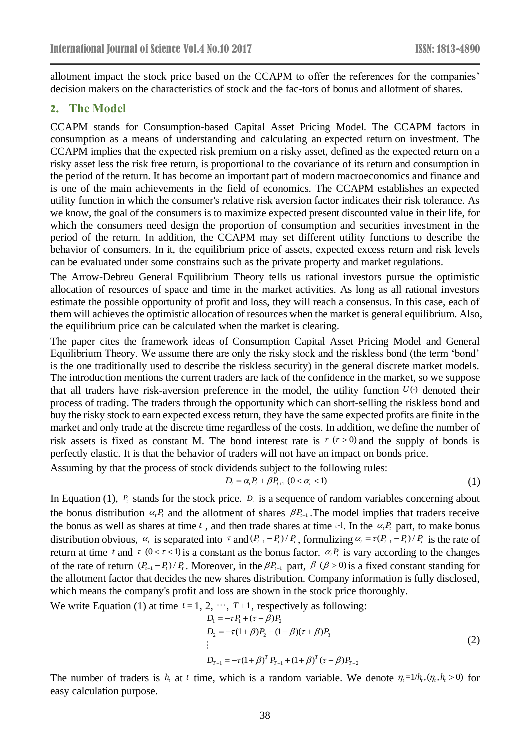allotment impact the stock price based on the CCAPM to offer the references for the companies' decision makers on the characteristics of stock and the fac-tors of bonus and allotment of shares.

#### **2. The Model**

CCAPM stands for Consumption-based Capital Asset Pricing Model. The CCAPM factors in consumption as a means of understanding and calculating an [expected return](https://en.wikipedia.org/wiki/Expected_return) on investment. The CCAPM implies that the expected [risk premium](https://en.wikipedia.org/wiki/Risk_premium) on a risky asset, defined as the expected return on a risky asset less the risk free return, is proportional to the covariance of its return and consumption in the period of the return. It has become an important part of modern macroeconomics and finance and is one of the main achievements in the field of economics. The CCAPM establishes an expected utility function in which the consumer's relative risk aversion factor indicates their risk tolerance. As we know, the goal of the consumers is to maximize expected present discounted value in their life, for which the consumers need design the proportion of consumption and securities investment in the period of the return. In addition, the CCAPM may set different utility functions to describe the behavior of consumers. In it, the equilibrium price of assets, expected excess return and risk levels can be evaluated under some constrains such as the private property and market regulations.

The Arrow-Debreu General Equilibrium Theory tells us rational investors pursue the optimistic allocation of resources of space and time in the market activities. As long as all rational investors estimate the possible opportunity of profit and loss, they will reach a consensus. In this case, each of them will achieves the optimistic allocation of resources when the market is general equilibrium. Also, the equilibrium price can be calculated when the market is clearing.

The paper cites the framework ideas of Consumption Capital Asset Pricing Model and General Equilibrium Theory. We assume there are only the risky stock and the riskless bond (the term 'bond' is the one traditionally used to describe the riskless security) in the general discrete market models. The introduction mentions the current traders are lack of the confidence in the market, so we suppose that all traders have risk-aversion preference in the model, the utility function  $U(\cdot)$  denoted their process of trading. The traders through the opportunity which can short-selling the riskless bond and buy the risky stock to earn expected excess return, they have the same expected profits are finite in the market and only trade at the discrete time regardless of the costs. In addition, we define the number of risk assets is fixed as constant M. The bond interest rate is  $r (r > 0)$  and the supply of bonds is perfectly elastic. It is that the behavior of traders will not have an impact on bonds price. Assuming by that the process of stock dividends subject to the following

$$
D_t = \alpha_t P_t + \beta P_{t+1} \quad (0 < \alpha_t < 1) \tag{1}
$$

In Equation (1),  $P_i$  stands for the stock price.  $D_i$  is a sequence of random variables concerning about the bonus distribution  $\alpha_i P_i$  and the allotment of shares  $\beta P_{i+1}$ . The model implies that traders receive the bonus as well as shares at time  $t$ , and then trade shares at time  $t+1$ . In the  $\alpha_t P_t$  part, to make bonus distribution obvious,  $\alpha_i$  is separated into  $\tau$  and  $(P_{i+1}-P_i)/P_i$ , formulizing  $\alpha_i = \tau(P_{i+1}-P_i)/P_i$  is the rate of return at time t and  $\tau$  (0 <  $\tau$  < 1) is a constant as the bonus factor.  $\alpha_i P_i$  is vary according to the changes of the rate of return  $(P_{t+1} - P_t)/P_t$ . Moreover, in the  $\beta P_{t+1}$  part,  $\beta (\beta > 0)$  is a fixed constant standing for the allotment factor that decides the new shares distribution. Company information is fully disclosed, which means the company's profit and loss are shown in the stock price thoroughly.

We write Equation (1) at time  $t = 1, 2, \dots, T+1$ , respectively as following:

$$
D_1 = -\tau P_1 + (\tau + \beta) P_2
$$
  
\n
$$
D_2 = -\tau (1 + \beta) P_2 + (1 + \beta)(\tau + \beta) P_3
$$
  
\n
$$
\vdots
$$
  
\n
$$
D_{T+1} = -\tau (1 + \beta)^T P_{T+1} + (1 + \beta)^T (\tau + \beta) P_{T+2}
$$
\n(2)

The number of traders is  $h_i$  at t time, which is a random variable. We denote  $\eta_i = 1/h_i$ ,  $(\eta_i, h_i > 0)$  for easy calculation purpose.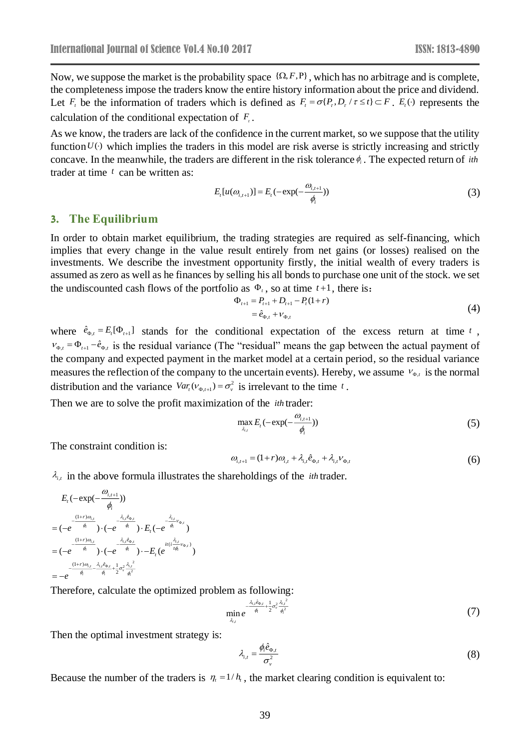Now, we suppose the market is the probability space  $\{\Omega, F, P\}$ , which has no arbitrage and is complete, the completeness impose the traders know the entire history information about the price and dividend. Let  $F_t$  be the information of traders which is defined as  $F_t = \sigma\{P_t, D_t / \tau \le t\} \subset F$ .  $E_t(\cdot)$  represents the calculation of the conditional expectation of  $F_t$ .

As we know, the traders are lack of the confidence in the current market, so we suppose that the utility function  $U(\cdot)$  which implies the traders in this model are risk averse is strictly increasing and strictly concave. In the meanwhile, the traders are different in the risk tolerance  $\phi_i$ . The expected return of *ith* trader at time *t* can be written as:

$$
E_{t}[u(\omega_{i,t+1})] = E_{t}(-\exp(-\frac{\omega_{i,t+1}}{\phi_{i}}))
$$
\n(3)

#### **3. The Equilibrium**

In order to obtain market equilibrium, the trading strategies are required as self-financing, which implies that every change in the value result entirely from net gains (or losses) realised on the investments. We describe the investment opportunity firstly, the initial wealth of every traders is assumed as zero as well as he finances by selling his all bonds to purchase one unit of the stock. we set the undiscounted cash flows of the portfolio as  $\Phi_t$ , so at time  $t+1$ , there is:

$$
\Phi_{t+1} = P_{t+1} + D_{t+1} - P_t(1+r) \n= \hat{e}_{\Phi,t} + v_{\Phi,t}
$$
\n(4)

where  $\hat{e}_{\Phi,t} = E_t[\Phi_{t+1}]$  stands for the conditional expectation of the excess return at time t,  $v_{\varphi,t} = \Phi_{t+1} - \hat{e}_{\varphi,t}$  is the residual variance (The "residual" means the gap between the actual payment of the company and expected payment in the market model at a certain period, so the residual variance measures the reflection of the company to the uncertain events). Hereby, we assume  $v_{\varphi,t}$  is the normal distribution and the variance  $Var_t(v_{\varphi_{t+1}}) = \sigma_v^2$  is irrelevant to the time t.

Then we are to solve the profit maximization of the *ith* trader:

$$
\max_{\lambda_{i,t}} E_t(-\exp(-\frac{\omega_{i,t+1}}{\phi_i})) \tag{5}
$$

The constraint condition is:

$$
\omega_{i,t+1} = (1+r)\omega_{i,t} + \lambda_{i,t}\hat{e}_{\Phi,t} + \lambda_{i,t}v_{\Phi,t}
$$
\n
$$
\tag{6}
$$

 $\lambda_{i,i}$  in the above formula illustrates the shareholdings of the *ith* trader.

$$
E_{t}(-\exp(-\frac{\omega_{i,t+1}}{\phi_{i}}))
$$
\n
$$
=(-e^{-\frac{(1+r)\omega_{i,t}}{\phi_{i}}})(-e^{-\frac{\lambda_{i,t}\hat{e}_{\Phi_{i}}}{\phi_{i}}})\cdot E_{t}(-e^{-\frac{\lambda_{i,t}}{\phi_{i}}\nu_{\Phi_{i}}})
$$
\n
$$
=(-e^{-\frac{(1+r)\omega_{i,t}}{\phi_{i}}})(-e^{-\frac{\lambda_{i,t}\hat{e}_{\Phi_{i}}}{\phi_{i}}})\cdot E_{t}(e^{-\frac{i(i\frac{\lambda_{i,t}}{\phi_{\Phi_{i}}}\nu_{\Phi_{i}})}{\phi_{i}}})
$$
\n
$$
=-e^{-\frac{(1+r)\omega_{i,t}-\lambda_{i,t}\hat{e}_{\Phi_{i}}}{\phi_{i}}+\frac{1}{2}\sigma_{v}^{2}\frac{\lambda_{i,t}^{2}}{\phi_{i}^{2}}}
$$

Therefore, calculate the optimized problem as following:

$$
\min_{\lambda_{i,j}} e^{-\frac{\lambda_{i,j}\hat{e}_{\Phi,i}}{\phi_i} + \frac{1}{2}\sigma_v^2 \frac{\lambda_{i,j}^2}{\phi_i^2}}
$$
(7)

Then the optimal investment strategy is:

$$
\lambda_{i,t} = \frac{\phi_i \hat{e}_{\Phi,t}}{\sigma_v^2} \tag{8}
$$

Because the number of the traders is  $\eta_t = 1/h_t$ , the market clearing condition is equivalent to: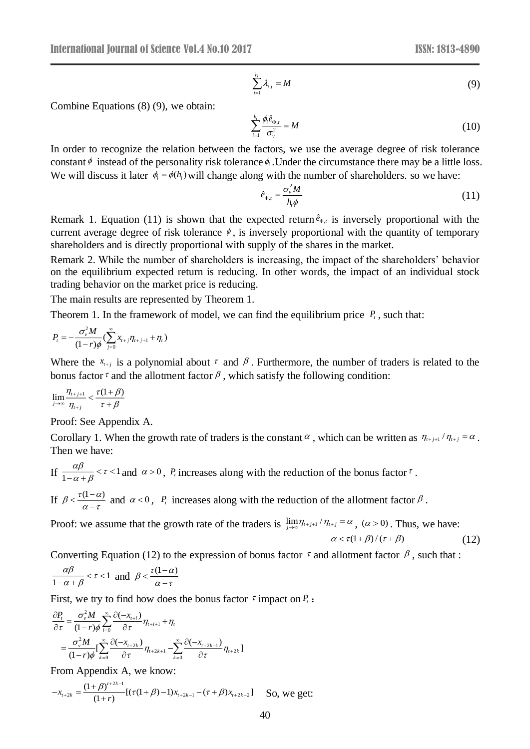$$
\sum_{i=1}^{h_i} \lambda_{i,t} = M \tag{9}
$$

Combine Equations (8) (9), we obtain:

$$
\sum_{i=1}^{h_i} \frac{\phi_i \hat{e}_{\Phi,t}}{\sigma_v^2} = M \tag{10}
$$

In order to recognize the relation between the factors, we use the average degree of risk tolerance constant  $\phi$  instead of the personality risk tolerance  $\phi_i$ . Under the circumstance there may be a little loss. We will discuss it later  $\phi_i = \phi(h_i)$  will change along with the number of shareholders. so we have:

$$
\hat{e}_{\Phi,t} = \frac{\sigma_v^2 M}{h_t \phi} \tag{11}
$$

Remark 1. Equation (11) is shown that the expected return  $\hat{e}_{\varphi}$ ,  $\hat{e}_{\varphi,\iota}$  is inversely proportional with the current average degree of risk tolerance  $\phi$ , is inversely proportional with the quantity of temporary shareholders and is directly proportional with supply of the shares in the market.

Remark 2. While the number of shareholders is increasing, the impact of the shareholders' behavior on the equilibrium expected return is reducing. In other words, the impact of an individual stock trading behavior on the market price is reducing.

The main results are represented by Theorem 1.

Theorem 1. In the framework of model, we can find the equilibrium price *Pt* , such that:

$$
P_t = -\frac{\sigma_v^2 M}{(1-r)\phi} (\sum_{j=0}^{\infty} x_{t+j} \eta_{t+j+1} + \eta_t)
$$

Where the  $x_{t+j}$  is a polynomial about  $\tau$  and  $\beta$ . Furthermore, the number of traders is related to the bonus factor  $\tau$  and the allotment factor  $\beta$ , which satisfy the following condition:

$$
\lim_{j\to\infty}\frac{\eta_{t+j+1}}{\eta_{t+j}} < \frac{\tau(1+\beta)}{\tau+\beta}
$$

Proof: See Appendix A.

Corollary 1. When the growth rate of traders is the constant  $\alpha$ , which can be written as  $\eta_{i+j+1}/\eta_{i+j} = \alpha$ . Then we have:

- If  $\frac{\alpha p}{1-\alpha+\beta} < \tau < 1$  $\frac{\alpha\beta}{-\alpha+\beta}$  <  $\tau$  < 1 and  $\alpha$  > 0, *P<sub>t</sub>* increases along with the reduction of the bonus factor  $\tau$ .
- If  $\beta < \frac{\tau(1-\alpha)}{\alpha \tau}$  $\leq \frac{i(1-a)}{a-7}$  and  $a < 0$ ,  $P_i$  increases along with the reduction of the allotment factor  $\beta$ .

Proof: we assume that the growth rate of the traders is  $\lim_{j\to\infty} \eta_{i+j+1}/\eta_{i+j} = \alpha$ ,  $(\alpha > 0)$ . Thus, we have:  $\alpha < \tau(1+\beta)/(\tau+\beta)$  (12)

Converting Equation (12) to the expression of bonus factor  $\tau$  and allotment factor  $\beta$ , such that :

$$
\frac{\alpha\beta}{1-\alpha+\beta} < \tau < 1 \text{ and } \beta < \frac{\tau(1-\alpha)}{\alpha-\tau}
$$

First, we try to find how does the bonus factor  $\tau$  impact on  $P_t$ :

$$
\frac{\partial P_t}{\partial \tau} = \frac{\sigma_v^2 M}{(1-r)\phi} \sum_{i=0}^{\infty} \frac{\partial (-x_{t+i})}{\partial \tau} \eta_{t+i+1} + \eta_t
$$
  
= 
$$
\frac{\sigma_v^2 M}{(1-r)\phi} \left[ \sum_{k=0}^{\infty} \frac{\partial (-x_{t+2k})}{\partial \tau} \eta_{t+2k+1} - \sum_{k=0}^{\infty} \frac{\partial (-x_{t+2k-1})}{\partial \tau} \eta_{t+2k} \right]
$$

From Appendix A, we know:

$$
-x_{t+2k} = \frac{(1+\beta)^{t+2k-1}}{(1+r)}[(\tau(1+\beta)-1)x_{t+2k-1} - (\tau+\beta)x_{t+2k-2}]
$$
 So, we get: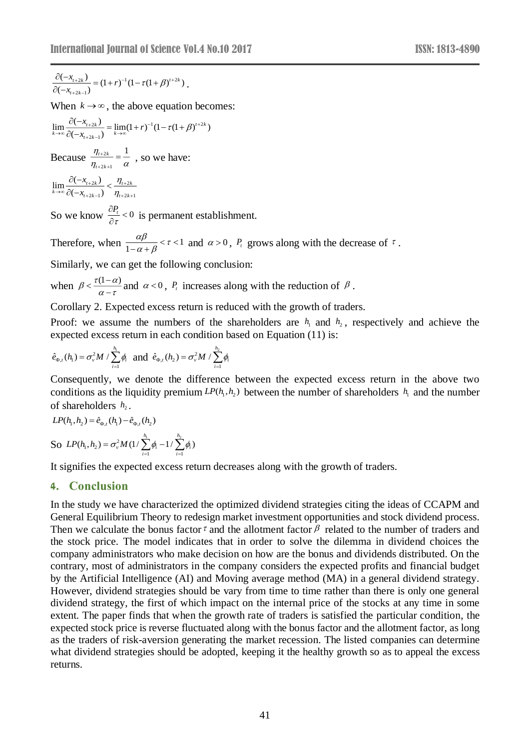$2k - 1$  $\frac{\partial (-x_{t+2k})}{\partial (-x_{t+2k-1})} = (1+r)^{-1}(1-\tau(1+\beta)^{t+2k})$  $\frac{\partial (-x_{t+2k})}{\partial (-x_{t+2k-1})} = (1+r)^{-1} (1-\tau(1+\beta)^{t+2k}).$ *t k*  $+2\kappa-$ 

When  $k \to \infty$ , the above equation becomes:

 $2k' = \lim_{h \to 0} (1 + h)^{-1} (1 - \pi (1 + h)^{t+2})$  $2k - 1$  $\lim_{k\to\infty}\frac{\partial(-x_{t+2k})}{\partial(-x_{t+2k-1})}=\lim_{k\to\infty}(1+r)^{-1}(1-\tau(1+\beta)^{t+2k})$  $t+2k$  =  $lim(1+n)^{-1}(1-n)$  *(1)*  $\tau$  $\int_{k \to \infty}^k C(-x_{t+2k-1})$  k  $\frac{f(x_{r+2k})}{f(x_{r+2k-1})} = \lim_{k \to \infty} (1+r)^{-1} (1-\tau(1+\beta))^{t+1}$  $\rightarrow \infty$   $\cap$   $\leftarrow$   $\Gamma$   $\longrightarrow$   $\infty$  $+2k \frac{\partial(-x_{t+2k})}{\partial(-x_{t+2k-1})} = \lim_{k\to\infty}(1+r)^{-1}(1-\tau(1+r))$ 

Because  $\frac{n+2}{n}$ 2 k + 1  $t_{t+2k}$  1 *t k*  $\eta$  $\eta_{t+2k+1}$   $\alpha$  $\frac{f^{2k}}{g} = \frac{1}{\alpha}$ , so we have:  $+2k+$ 

 $2k$   $\frac{1}{2}$   $11+2$  $2k-1$   $1 + 2k+1$  $\lim \frac{\partial (-x_{t+2k})}{\partial (-x_{t+2k})}$  $(-x_{t+2k-1})$  $t+2k$   $\prime$   $\prime$   $t+2k$  $\int_{k \to \infty}^k C(-x_{t+2k-1})$   $\eta_{t+2k}$ *x x*  $\eta$  $\eta$  $+2k$ ,  $11$  $\rightarrow \infty$   $C(-x_{t+2k-1})$   $\eta_{t+2k+1}$  $\frac{\partial(-x_{t+2k})}{\partial(-x_{t+2k-1})} <$ 

So we know  $\frac{\partial P_t}{\partial \tau} < 0$ τ  $\frac{\partial P_t}{\partial \tau}$  < 0 is permanent establishment.

Therefore, when  $\frac{\Delta \mu}{1 - \alpha + \beta} < \tau < 1$  $\frac{\alpha\beta}{-\alpha+\beta}$  <  $\tau$  < 1 and  $\alpha > 0$ ,  $P_t$  grows along with the decrease of  $\tau$ .

Similarly, we can get the following conclusion:

when  $\beta < \frac{\tau(1-\alpha)}{\alpha - \tau}$  $\leq \frac{f(t-a)}{s-a}$  and  $\alpha < 0$ ,  $P_t$  increases along with the reduction of  $\beta$ .

Corollary 2. Expected excess return is reduced with the growth of traders.

Proof: we assume the numbers of the shareholders are  $h_1$  and  $h_2$ , respectively and achieve the expected excess return in each condition based on Equation (11) is:

$$
\hat{e}_{\Phi,t}(h_1) = \sigma_v^2 M / \sum_{i=1}^{h_1} \phi_i
$$
 and  $\hat{e}_{\Phi,t}(h_2) = \sigma_v^2 M / \sum_{i=1}^{h_2} \phi_i$ 

Consequently, we denote the difference between the expected excess return in the above two conditions as the liquidity premium  $LP(h_1, h_2)$  between the number of shareholders  $h_1$  and the number of shareholders  $h_2$ .

$$
LP(h_1, h_2) = \hat{e}_{\Phi, t}(h_1) - \hat{e}_{\Phi, t}(h_2)
$$

So  $LP(h_1, h_2) = \sigma_v^2 M(1/\sum_{i=1}^{n_1} \phi_i - 1/\sum_{i=1}^{n_2} \phi_i)$ *h h*  $LP(h_{\!\scriptscriptstyle 1}, h_{\!\scriptscriptstyle 2}) = \sigma_{\scriptscriptstyle \rm v}^2 M(1/\sum_{\scriptscriptstyle i=1}^{} \pmb{\phi}_{\scriptscriptstyle i} -\!1/\sum_{\scriptscriptstyle i=1}^{} \pmb{\phi}_{\scriptscriptstyle i}$ 

It signifies the expected excess return decreases along with the growth of traders.

# **4. Conclusion**

 $\frac{2s}{x_{r+2k-1}} = (1+r)^{-1}(1-r(1+\beta)^{r+2s})$ .<br>  $k \to \infty$ , the above equation becomes:<br>  $k \to \infty$ , the above equation becomes:<br>  $\frac{x_{r+2k-1}}{x_{r+2k-1}} = \lim_{k \to \infty} (1+r)^{-1}(1-r(1+\beta)^{r+2})$ <br>  $\approx \frac{m_{2k}}{n_{r+2k-1}} = \frac{1}{\alpha}$ , so we have:<br> In the study we have characterized the optimized dividend strategies citing the ideas of CCAPM and General Equilibrium Theory to redesign market investment opportunities and stock dividend process. Then we calculate the bonus factor  $\tau$  and the allotment factor  $\beta$  related to the number of traders and the stock price. The model indicates that in order to solve the dilemma in dividend choices the company administrators who make decision on how are the bonus and dividends distributed. On the contrary, most of administrators in the company considers the expected profits and financial budget by the Artificial Intelligence (AI) and Moving average method (MA) in a general dividend strategy. However, dividend strategies should be vary from time to time rather than there is only one general dividend strategy, the first of which impact on the internal price of the stocks at any time in some extent. The paper finds that when the growth rate of traders is satisfied the particular condition, the expected stock price is reverse fluctuated along with the bonus factor and the allotment factor, as long as the traders of risk-aversion generating the market recession. The listed companies can determine what dividend strategies should be adopted, keeping it the healthy growth so as to appeal the excess returns.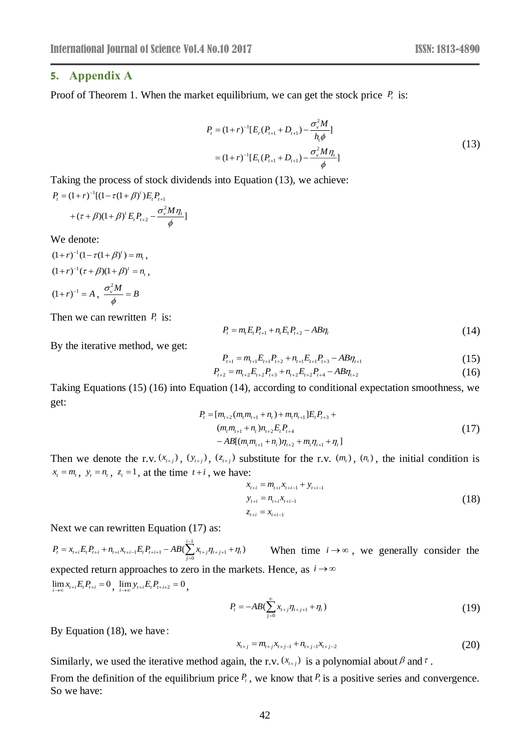#### **5. Appendix A**

Proof of Theorem 1. When the market equilibrium, we can get the stock price  $P_t$  is:

$$
P_{t} = (1+r)^{-1} [E_{t} (P_{t+1} + D_{t+1}) - \frac{\sigma_{v}^{2} M}{h_{t} \phi}]
$$
  
=  $(1+r)^{-1} [E_{t} (P_{t+1} + D_{t+1}) - \frac{\sigma_{v}^{2} M \eta_{t}}{\phi}]$  (13)

Taking the process of stock dividends into Equation (13), we achieve:  $P_t = (1+r)^{-1}[(1-\tau(1+\beta)')E_tP_{t+1}]$ 

$$
+(\tau+\beta)(1+\beta)^{t} E_{t}P_{t+2}-\frac{\sigma_{v}^{2}M\eta_{t}}{\phi}]
$$

We denote:

 $(1+r)^{-1}(1-\tau(1+\beta)^t) = m_t$ ,  $(1+r)^{-1}(\tau+\beta)(1+\beta)^{t}=n_{t}$ ,  $(1+r)^{-1} = A$ ,  $\frac{\sigma_v^2 M}{4} = B$  $\overline{\phi}$  =

Then we can rewritten  $P_t$  is:

$$
P_{t} = m_{t} E_{t} P_{t+1} + n_{t} E_{t} P_{t+2} - AB \eta_{t}
$$
\n(14)

By the iterative method, we get:

$$
P_{t+1} = m_{t+1} E_{t+1} P_{t+2} + n_{t+1} E_{t+1} P_{t+3} - A B \eta_{t+1}
$$
\n(15)

$$
P_{t+2} = m_{t+2} E_{t+2} P_{t+3} + n_{t+2} E_{t+2} P_{t+4} - AB \eta_{t+2} \tag{16}
$$

Taking Equations (15) (16) into Equation (14), according to conditional expectation smoothness, we get:

$$
P_{t} = [m_{t+2}(m_{t}m_{t+1} + n_{t}) + m_{t}n_{t+1}]E_{t}P_{t+3} +
$$
  
\n
$$
(m_{t}m_{t+1} + n_{t})n_{t+2}E_{t}P_{t+4}
$$
  
\n
$$
-AB[(m_{t}m_{t+1} + n_{t})\eta_{t+2} + m_{t}\eta_{t+1} + \eta_{t}]
$$
\n(17)

Then we denote the r.v.  $(x_{i+j})$ ,  $(y_{i+j})$ ,  $(z_{i+j})$  substitute for the r.v.  $(m_i)$ ,  $(n_i)$ , the initial condition is  $x_t = m_t$ ,  $y_t = n_t$ ,  $z_t = 1$ , at the time  $t + i$ , we have:

$$
x_{t+i} = m_{t+i} x_{t+i-1} + y_{t+i-1}
$$
  
\n
$$
y_{t+i} = n_{t+i} x_{t+i-1}
$$
  
\n
$$
z_{t+i} = x_{t+i-1}
$$
\n(18)

Next we can rewritten Equation (17) as:

 $_{1}E_{t}P_{t+i+1} - AB(\sum_{i=0}^{i-1}x_{t+j}\eta_{t+j+1} + \eta_{t})$  $t^{t}$   $\frac{t^{t}}{t^{t}}$   $\frac{t^{t}}{t^{t}}$   $\frac{t^{t}}{t^{t}}$   $\frac{t^{t}}{t^{t}}$   $\frac{t^{t}}{t^{t}}$   $\frac{t^{t}}{t^{t}}$   $\frac{t^{t}}{t^{t}}$   $\frac{t^{t}}{t^{t}}$   $\frac{t^{t}}{t^{t}}$   $\frac{t^{t}}{t^{t}}$   $\frac{t^{t}}{t^{t}}$   $\frac{t^{t}}{t^{t}}$   $\frac{t^{t}}{t^{t}}$   $\frac{t^{t}}{t^{t}}$   $\frac{$  $P_{t} = x_{t+i} E_{t} P_{t+i} + n_{t+i} x_{t+i-1} E_{t} P_{t+i+1} - AB(\sum_{i=1}^{t-1} x_{t+i} \eta_{t+i+1} + \eta_{t+i+1})$  $= x_{i+i} E_i P_{i+i} + n_{i+i} x_{i+i-1} E_i P_{i+i+1} - AB(\sum_{j=0}^n x_{i+j} \eta_{i+j+1} + \eta_i)$  When time  $i \to \infty$ , we generally consider the expected return approaches to zero in the markets. Hence, as  $i \rightarrow \infty$  $\lim_{i \to \infty} x_{t+i} E_t P_{t+i} = 0$ ,  $\lim_{i \to \infty} y_{t+i} E_t P_{t+i+2} = 0$ ,

$$
P_{t} = -AB(\sum_{j=0}^{\infty} x_{t+j} \eta_{t+j+1} + \eta_{t})
$$
\n(19)

By Equation (18), we have:

$$
x_{i+j} = m_{i+j}x_{i+j-1} + n_{i+j-1}x_{i+j-2}
$$
\n(20)

Similarly, we used the iterative method again, the r.v.  $(x_{i+j})$  is a polynomial about  $\beta$  and  $\tau$ .

From the definition of the equilibrium price  $P_t$ , we know that  $P_t$  is a positive series and convergence. So we have: